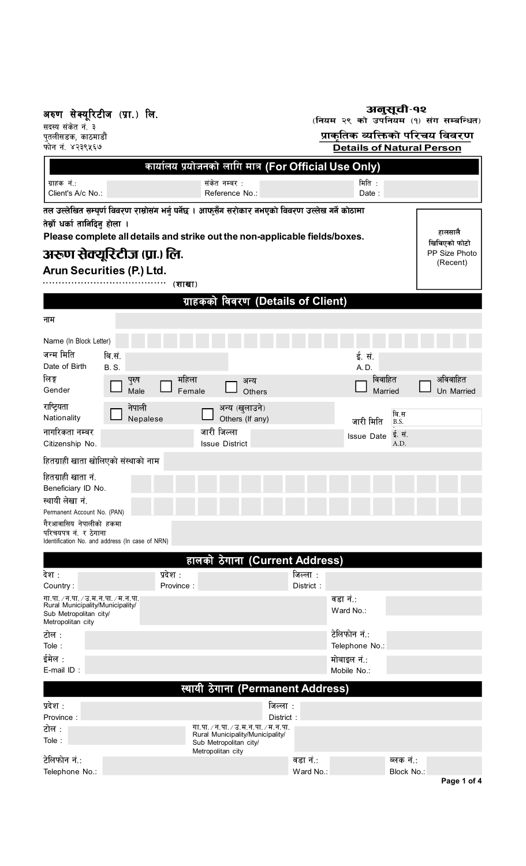अरुण सेक्यूरिटीज (प्रा.) लि<mark>.</mark>

|  | अनुसूची-१२ |  |
|--|------------|--|
|  |            |  |

(नियम २९ को उपनियम (१) संग सम्बन्धित)

सदस्य संकेत नं. <mark>३</mark> पुतलीसडक, काठमाडौं फोन नं. ४२३९५६७

## <u>प्राकृतिक व्यक्तिको परिचय विवरण</u> **Details of Natural Person**

| कार्यालय प्रयोजनको लागि मात्र (For Official Use Only)                                                                                                                                                                                                                           |                                |                       |                                                            |                                                               |                       |                                                              |                         |            |
|---------------------------------------------------------------------------------------------------------------------------------------------------------------------------------------------------------------------------------------------------------------------------------|--------------------------------|-----------------------|------------------------------------------------------------|---------------------------------------------------------------|-----------------------|--------------------------------------------------------------|-------------------------|------------|
| ग्राहक नं.:<br>Client's A/c No.:                                                                                                                                                                                                                                                |                                |                       | संकेत नम्बर :<br>Reference No.:                            |                                                               |                       | मिति :<br>Date:                                              |                         |            |
| तल उल्लेखित सम्पूर्ण विवरण राम्रोसंग भर्नु पर्नेछ । आफूसँग सरोकार नभएको विवरण उल्लेख गर्ने कोठामा<br>तेर्स्नो धर्का तानिदिनु होला ।<br>Please complete all details and strike out the non-applicable fields/boxes.<br>अरूण सेक्यूरिटीज (प्रा.) लि.<br>Arun Securities (P.) Ltd. |                                |                       |                                                            |                                                               |                       |                                                              |                         |            |
|                                                                                                                                                                                                                                                                                 |                                | (शाखा)                |                                                            |                                                               |                       |                                                              |                         |            |
|                                                                                                                                                                                                                                                                                 |                                |                       |                                                            | ग्राहकको विवरण (Details of Client)                            |                       |                                                              |                         |            |
| नाम                                                                                                                                                                                                                                                                             |                                |                       |                                                            |                                                               |                       |                                                              |                         |            |
| Name (In Block Letter)<br>जन्म मिति<br>Date of Birth<br>लिङ्ग                                                                                                                                                                                                                   | बि.सं.<br><b>B.S.</b><br>पुरुष | महिला                 |                                                            | अन्य                                                          |                       | ई. सं.<br>A. D.<br>विवाहित                                   |                         | अविवाहित   |
| Gender                                                                                                                                                                                                                                                                          | Male                           | Female                |                                                            | Others                                                        |                       |                                                              | Married                 | Un Married |
| राष्ट्रियता<br>Nationality<br>नागरिकता नम्बर                                                                                                                                                                                                                                    | नेपाली<br>Nepalese             |                       | अन्य (खुलाउने)<br>Others (If any)<br>जारी जिल्ला           |                                                               |                       | जारी मिति                                                    | बि.स<br>B.S.            |            |
| Citizenship No.                                                                                                                                                                                                                                                                 |                                |                       | <b>Issue District</b>                                      |                                                               |                       | <b>Issue Date</b>                                            | ई. सं.<br>A.D.          |            |
| हितग्राही खाता खोलिएको संस्थाको नाम                                                                                                                                                                                                                                             |                                |                       |                                                            |                                                               |                       |                                                              |                         |            |
| हितग्राही खाता नं.<br>Beneficiary ID No.<br>स्थायी लेखा नं.<br>Permanent Account No. (PAN)<br>गैरआवासिय नेपालीको हकमा<br>परिचयपत्र नं. र ठेगाना<br>Identification No. and address (In case of NRN)                                                                              |                                |                       |                                                            |                                                               |                       |                                                              |                         |            |
|                                                                                                                                                                                                                                                                                 |                                |                       |                                                            | हालको ठेगाना (Current Address)                                |                       |                                                              |                         |            |
| देश :<br>Country:<br>गा.पा. / न.पा. / उ.म.न.पा. / म.न.पा.<br>Rural Municipality/Municipality/<br>Sub Metropolitan city/                                                                                                                                                         |                                | प्रदेश :<br>Province: |                                                            |                                                               | जिल्ला :<br>District: | वडा नं∴<br>Ward No.:                                         |                         |            |
| Metropolitan city<br>टोल :<br>Tole:<br>ईमेल :<br>E-mail ID:                                                                                                                                                                                                                     |                                |                       |                                                            |                                                               |                       | टेलिफोन नं.:<br>Telephone No.:<br>मोबाइल नं.:<br>Mobile No.: |                         |            |
|                                                                                                                                                                                                                                                                                 |                                |                       |                                                            | स्थायी ठेगाना (Permanent Address)                             |                       |                                                              |                         |            |
| प्रदेश :<br>Province:<br>टोल :<br>Tole:                                                                                                                                                                                                                                         |                                |                       | Rural Municipality/Municipality/<br>Sub Metropolitan city/ | जिल्ला :<br>District:<br>गा.पा. / न.पा. / उ.म.न.पा. / म.न.पा. |                       |                                                              |                         |            |
| टेलिफोन नं.:<br>Telephone No.:                                                                                                                                                                                                                                                  |                                |                       | Metropolitan city                                          |                                                               | वडा नं.∶<br>Ward No.: |                                                              | ब्लक नं.:<br>Block No.: |            |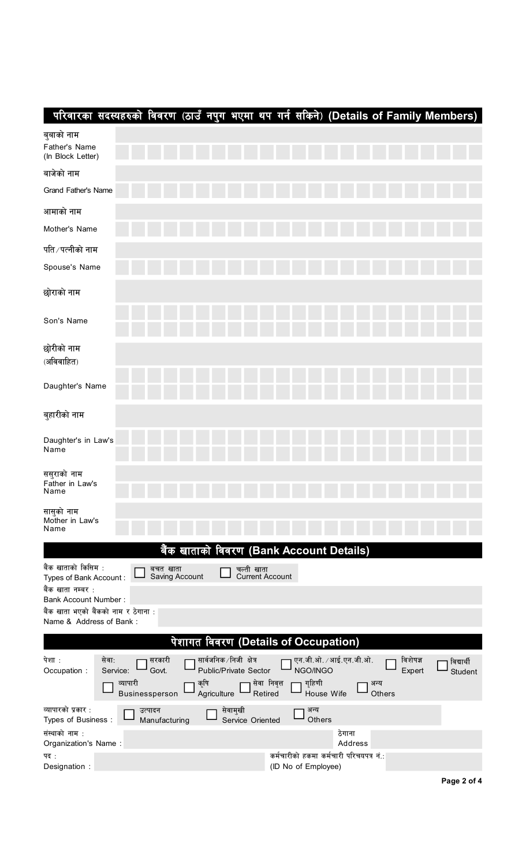|                                                                 | परिवारका सदस्यहरुको विवरण (ठाउँ नपुग भएमा थप गर्न सकिने) (Details of Family Members) |                            |                     |                                          |                         |                                  |                                         |                |          |            |
|-----------------------------------------------------------------|--------------------------------------------------------------------------------------|----------------------------|---------------------|------------------------------------------|-------------------------|----------------------------------|-----------------------------------------|----------------|----------|------------|
| बुबाको नाम<br>Father's Name<br>(In Block Letter)                |                                                                                      |                            |                     |                                          |                         |                                  |                                         |                |          |            |
| बाजेको नाम                                                      |                                                                                      |                            |                     |                                          |                         |                                  |                                         |                |          |            |
| Grand Father's Name                                             |                                                                                      |                            |                     |                                          |                         |                                  |                                         |                |          |            |
| आमाको नाम                                                       |                                                                                      |                            |                     |                                          |                         |                                  |                                         |                |          |            |
| Mother's Name                                                   |                                                                                      |                            |                     |                                          |                         |                                  |                                         |                |          |            |
| पति ∕पत्नीको नाम                                                |                                                                                      |                            |                     |                                          |                         |                                  |                                         |                |          |            |
| Spouse's Name                                                   |                                                                                      |                            |                     |                                          |                         |                                  |                                         |                |          |            |
| छोराको नाम                                                      |                                                                                      |                            |                     |                                          |                         |                                  |                                         |                |          |            |
| Son's Name                                                      |                                                                                      |                            |                     |                                          |                         |                                  |                                         |                |          |            |
| छोरीको नाम<br>(अविवाहित)                                        |                                                                                      |                            |                     |                                          |                         |                                  |                                         |                |          |            |
| Daughter's Name                                                 |                                                                                      |                            |                     |                                          |                         |                                  |                                         |                |          |            |
| बुहारीको नाम                                                    |                                                                                      |                            |                     |                                          |                         |                                  |                                         |                |          |            |
| Daughter's in Law's<br>Name                                     |                                                                                      |                            |                     |                                          |                         |                                  |                                         |                |          |            |
| सस्राको नाम<br>Father in Law's<br>Name                          |                                                                                      |                            |                     |                                          |                         |                                  |                                         |                |          |            |
| सासुको नाम<br>Mother in Law's<br>Name                           |                                                                                      |                            |                     |                                          |                         |                                  |                                         |                |          |            |
|                                                                 |                                                                                      |                            |                     | बैंक खाताको विवरण (Bank Account Details) |                         |                                  |                                         |                |          |            |
| बैंक खाताको किसिम :<br>Types of Bank Account:                   |                                                                                      | बचत खाता<br>Saving Account |                     | चल्ती खाता                               | <b>Current Account</b>  |                                  |                                         |                |          |            |
| बैंक खाता नम्बर :<br><b>Bank Account Number:</b>                |                                                                                      |                            |                     |                                          |                         |                                  |                                         |                |          |            |
| बैंक खाता भएको बैंकको नाम र ठेगाना :<br>Name & Address of Bank: |                                                                                      |                            |                     |                                          |                         |                                  |                                         |                |          |            |
|                                                                 |                                                                                      |                            |                     | पेशागत विवरण (Details of Occupation)     |                         |                                  |                                         |                |          |            |
| पेशा:                                                           | सेवा:                                                                                | सरकारी                     |                     | सार्वजनिक ∕निजी क्षेत्र                  |                         |                                  | एन.जी.ओ. ⁄ आई.एन.जी.ओ.                  |                | विशेषज्ञ | विद्यार्थी |
| Occupation :                                                    | Service:<br>व्यापारी                                                                 | Govt.<br>Businessperson    | कृषि<br>Agriculture | Public/Private Sector                    | सेवा निवृत्त<br>Retired | NGO/INGO<br>गृहिणी<br>House Wife |                                         | अन्य<br>Others | Expert   | Student    |
| व्यापारको प्रकार :<br>Types of Business:                        |                                                                                      | उत्पादन<br>Manufacturing   |                     | सेवामुखी<br>Service Oriented             |                         | अन्य<br>Others                   |                                         |                |          |            |
| संस्थाको नाम :<br>Organization's Name:                          |                                                                                      |                            |                     |                                          |                         |                                  | ठेगाना<br>Address                       |                |          |            |
| पद:<br>Designation :                                            |                                                                                      |                            |                     |                                          |                         | (ID No of Employee)              | कर्मचारीको हकमा कर्मचारी परिचयपत्र नं.: |                |          |            |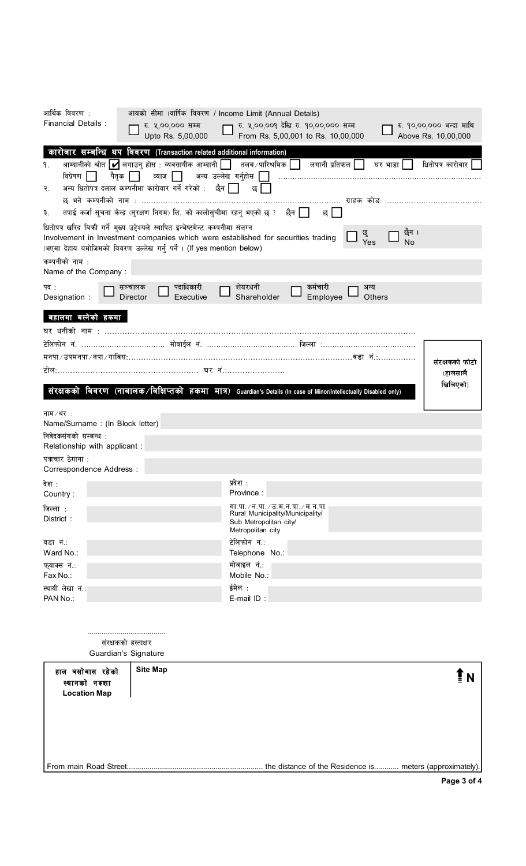| आर्थिक विवरण :                                                                  | आयको सीमा (वार्षिक विवरण / Income Limit (Annual Details)                                                                                                                                                                                                                                                                                                                                                                                             |                                                                                                                                                                                                                                                                                                                        |                                                              |                                                 |
|---------------------------------------------------------------------------------|------------------------------------------------------------------------------------------------------------------------------------------------------------------------------------------------------------------------------------------------------------------------------------------------------------------------------------------------------------------------------------------------------------------------------------------------------|------------------------------------------------------------------------------------------------------------------------------------------------------------------------------------------------------------------------------------------------------------------------------------------------------------------------|--------------------------------------------------------------|-------------------------------------------------|
| <b>Financial Details:</b>                                                       | रु. ५,००,००० सम्म<br>Upto Rs. 5,00,000                                                                                                                                                                                                                                                                                                                                                                                                               | रु. ५,००,००१ देखि रु. १०,००,००० सम्म<br>From Rs. 5,00,001 to Rs. 10,00,000                                                                                                                                                                                                                                             |                                                              | रु. १०,००,००० भन्दा माथि<br>Above Rs. 10,00,000 |
| ۹.<br>विप्रेषण    <br>२.<br>₹.<br>कम्पनीको नाम :<br>Name of the Company:<br>पदः | कारोबार सम्बन्धि थप विवरण (Transaction related additional information)<br>आम्दानीको श्रोत $ \blacktriangledown$ लगाउन् होस : व्यवसायीक आम्दानी $ \;\; $ तलब $\;$ पारिश्रमिक $ \;\; $<br>पैतक    <br>अन्य धितोपत्र दलाल कम्पनीमा कारोवार गर्ने गरेको : ्छैन    <br>धितोपत्र खरिद बिक्री गर्ने मुख्य उद्देश्यले स्थापित इन्भेष्टमेन्ट कम्पनीमा संलग्न<br>(भएमा देहाय बमोजिमको विवरण उल्लेख गर्नु पर्ने। (If yes mention below)<br>पदाधिकारी<br>सञ्चालक | लगानी प्रतिफल $\begin{array}{ c c } \hline \ \hline \ \hline \ \hline \ \hline \ \hline \ \hline \end{array}$<br>छ<br>छ भने कम्पनीको नाम : …………………………………………………………………………… ग्राहक कोड: ……………………………………<br>छ ।<br>Involvement in Investment companies which were established for securities trading<br>शेयरधनी<br>कर्मचारी | घर भाडा $\vert$  <br>छेन ।<br>छु<br>Yes<br><b>No</b><br>अन्य | धितोपत्र कारोवार                                |
| Designation :<br>बहालमा बस्नेको हकमा                                            | Director<br>Executive                                                                                                                                                                                                                                                                                                                                                                                                                                | Shareholder<br>Employee                                                                                                                                                                                                                                                                                                | Others                                                       |                                                 |
|                                                                                 |                                                                                                                                                                                                                                                                                                                                                                                                                                                      | मनपा ⁄ उपमनपा ⁄ नपा ⁄ गाविस:……………………………………………………………………………………… वडा   नं……………<br>संरक्षकको विवरण (नाबालक/विक्षिप्तको हकमा मात्र) Guardian's Details (In case of Minor/Intellectually Disabled only)                                                                                                                      |                                                              | संरक्षकको फोटो<br>(हालसालै<br>खिचिएको)          |
| नाम $/$ थर $\,$ :<br>Name/Surname: (In Block letter)<br>निवेदकसंगको सम्बन्ध :   |                                                                                                                                                                                                                                                                                                                                                                                                                                                      |                                                                                                                                                                                                                                                                                                                        |                                                              |                                                 |
| Relationship with applicant :<br>पत्राचार ठेगाना :<br>Correspondence Address :  |                                                                                                                                                                                                                                                                                                                                                                                                                                                      |                                                                                                                                                                                                                                                                                                                        |                                                              |                                                 |
| देश :<br>Country:                                                               |                                                                                                                                                                                                                                                                                                                                                                                                                                                      | प्रदेश :<br>Province :                                                                                                                                                                                                                                                                                                 |                                                              |                                                 |
| जिल्ला:<br>District:                                                            |                                                                                                                                                                                                                                                                                                                                                                                                                                                      | गा.पा. / न.पा. / उ.म.न.पा. / म.न.पा.<br>Rural Municipality/Municipality/<br>Sub Metropolitan city/<br>Metropolitan city                                                                                                                                                                                                |                                                              |                                                 |
| वडा नं.:<br>Ward No.:                                                           |                                                                                                                                                                                                                                                                                                                                                                                                                                                      | टेलिफोन नं.:<br>Telephone No.:                                                                                                                                                                                                                                                                                         |                                                              |                                                 |
| फ्याक्स नं.:<br>Fax No.:                                                        |                                                                                                                                                                                                                                                                                                                                                                                                                                                      | मोबाइल नं.:<br>Mobile No.:                                                                                                                                                                                                                                                                                             |                                                              |                                                 |
| स्थायी लेखा नं.: <br>PAN No.:                                                   |                                                                                                                                                                                                                                                                                                                                                                                                                                                      | ईमेल :<br>$E$ -mail ID:                                                                                                                                                                                                                                                                                                |                                                              |                                                 |
|                                                                                 | संरक्षकको हस्ताक्षर<br>Guardian's Signature                                                                                                                                                                                                                                                                                                                                                                                                          |                                                                                                                                                                                                                                                                                                                        |                                                              |                                                 |
| हाल बसोबास रहेको<br>स्थानको नक्शा                                               | <b>Site Map</b>                                                                                                                                                                                                                                                                                                                                                                                                                                      |                                                                                                                                                                                                                                                                                                                        |                                                              |                                                 |

**Location Map**

From main Road Street.................................................................. the distance of the Residence is............ meters (approximately).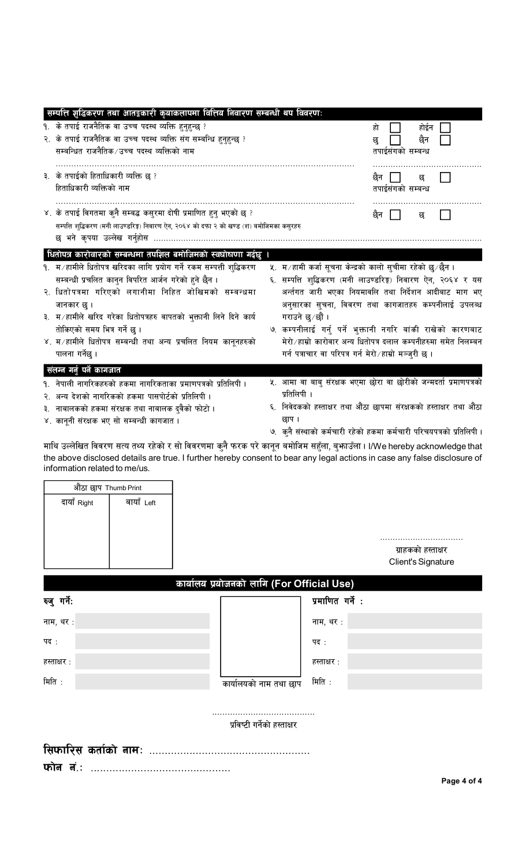| सम्पत्ति शुद्धिकरण तथा आतङ्कारी कृयाकलापमा वित्तिय निवारण सम्बन्धी थप विवरण:               |                                                                                                                                                                                                                                                        |
|--------------------------------------------------------------------------------------------|--------------------------------------------------------------------------------------------------------------------------------------------------------------------------------------------------------------------------------------------------------|
| १. के तपाई राजनैतिक वा उच्च पदस्थ व्यक्ति हुनुहुन्छ ?                                      | हो<br>होईन                                                                                                                                                                                                                                             |
| २. के तपाई राजनैतिक वा उच्च पदस्थ व्यक्ति संग सम्बन्धि हुनुहुन्छ ?                         | छैन<br>छ                                                                                                                                                                                                                                               |
| सम्बन्धित राजनैतिक/उच्च पदस्थ व्यक्तिको नाम                                                | तपाईसंगको सम्बन्ध                                                                                                                                                                                                                                      |
| ३. के तपाईको हिताधिकारी व्यक्ति छ ?                                                        | छन<br>छ                                                                                                                                                                                                                                                |
| हिताधिकारी व्यक्तिको नाम                                                                   | तपाईसंगको सम्बन्ध                                                                                                                                                                                                                                      |
| ४. के तपाई विगतमा कुनै सम्बद्ध कसुरमा दोषी प्रमाणित हुनु भएको छ ?                          | छैन<br>छ                                                                                                                                                                                                                                               |
| सम्पत्ति शुद्धिकरण (मनी लाउण्डरिङ्ग) निवारण ऐन, २०६४ को दफा २ को खण्ड (श) बमोजिमका कसुरहरु |                                                                                                                                                                                                                                                        |
| छ भने कृपया उल्लेख गर्नुहोस                                                                |                                                                                                                                                                                                                                                        |
| धितोपत्र कारोवारको सम्बन्धमा तपशिल बमोजिमको स्वघोषणा गर्दछु ।                              |                                                                                                                                                                                                                                                        |
| १. म ∕ हामीले धितोपत्र खरिदका लागि प्रयोग गर्ने रकम सम्पत्ती शुद्धिकरण                     | ५. म ∕ हामी कर्जा सूचना केन्द्रको कालो सुचीमा रहेको छु ∕ छैन ।                                                                                                                                                                                         |
| सम्बन्धी प्रचलित कानुन विपरित आर्जन गरेको हने छैन ।                                        | ६. सम्पत्ति शढि़करण (मनी लाउण्डरिङ्ग) निवारण ऐन, २०६४ र यस                                                                                                                                                                                             |
| २. धितोपत्रमा गरिएको लगानीमा निहित जोखिमको सम्बन्धमा                                       | अर्न्तगत जारी भएका नियमावलि तथा निर्देशन आदीबाट माग भए                                                                                                                                                                                                 |
| जानकार छु ।                                                                                | अनुसारका सुचना, विवरण तथा कागजातहरु कम्पनीलाई उपलब्ध                                                                                                                                                                                                   |
| ३. म ∕ हामीले खरिद गरेका धितोपत्रहरु वापतको भुक्तानी लिने दिने कार्य                       | गराउने छु∕छौं ।                                                                                                                                                                                                                                        |
| तोकिएको समय भित्र गर्ने छ ।                                                                | ७. कम्पनीलाई गर्नु पर्ने भुक्तानी नगरि बांकी राखेको कारणबाट                                                                                                                                                                                            |
| ४. म / हामीले धितोपत्र सम्बन्धी तथा अन्य प्रचलित नियम कानूनहरुको                           | मेरो ⁄ हाम्रो कारोवार अन्य धितोपत्र दलाल कम्पनीहरुमा समेत निलम्बन                                                                                                                                                                                      |
| पालना गर्नेछ ।                                                                             | गर्न पत्राचार वा परिपत्र गर्न मेरो ∕ हाम्रो मञ्जुरी छ ।                                                                                                                                                                                                |
| संलग्न गर्नु पर्ने कागजात                                                                  |                                                                                                                                                                                                                                                        |
| १. नेपाली नागरिकहरुको हकमा नागरिकताका प्रमाणपत्रको प्रतिलिपी ।                             | ५. आमा वा बाबु संरक्षक भएमा छोरा वा छोरीको जन्मदर्ता प्रमाणपत्रको                                                                                                                                                                                      |
| २. अन्य देशको नागरिकको हकमा पासपोर्टको प्रतिलिपी ।                                         | प्रतिलिपी ।                                                                                                                                                                                                                                            |
| ३. नाबालकको हकमा संरक्षक तथा नाबालक दुवैको फोटो ।                                          | ६. निवेदकको हस्ताक्षर तथा औंठा छापमा संरक्षकको हस्ताक्षर तथा औंठा                                                                                                                                                                                      |
| ४. कानूनी संरक्षक भए सो सम्बन्धी कागजात ।                                                  | छाप ।                                                                                                                                                                                                                                                  |
|                                                                                            | ७.  कुनै संस्थाको कर्मचारी रहेको हकमा कर्मचारी परिचयपत्रको प्रतिलिपी ।                                                                                                                                                                                 |
| information related to me/us.<br>औंठा छाप Thumb Print                                      | माथि उल्लेखित विवरण सत्य तथ्य रहेको र सो विवरणमा कुनै फरक परे कानून बमोजिम सहुँला, बुफाउँला । I/We hereby acknowledge that<br>the above disclosed details are true. I further hereby consent to bear any legal actions in case any false disclosure of |
| बायाँ Left<br>दायाँ Right                                                                  | ग्राहकको हस्ताक्षर                                                                                                                                                                                                                                     |
|                                                                                            | Client's Signature                                                                                                                                                                                                                                     |
|                                                                                            | कार्यालय प्रयोजनको लागि (For Official Use)                                                                                                                                                                                                             |
| रुजु गर्ने:                                                                                | प्रमाणित गर्ने :                                                                                                                                                                                                                                       |
| नाम, थर:                                                                                   | नाम, थर :                                                                                                                                                                                                                                              |
| पद :                                                                                       | पद :                                                                                                                                                                                                                                                   |
| हस्ताक्षर :                                                                                | हस्ताक्षर :                                                                                                                                                                                                                                            |
| मिति:                                                                                      | मिति :<br>कार्यालयको नाम तथा छाप                                                                                                                                                                                                                       |
|                                                                                            | प्रविष्टी गर्नेको हस्ताक्षर                                                                                                                                                                                                                            |
|                                                                                            |                                                                                                                                                                                                                                                        |
| $\overline{\mathbf{w}}$ कां लं.:                                                           |                                                                                                                                                                                                                                                        |
|                                                                                            | Page 4 of 4                                                                                                                                                                                                                                            |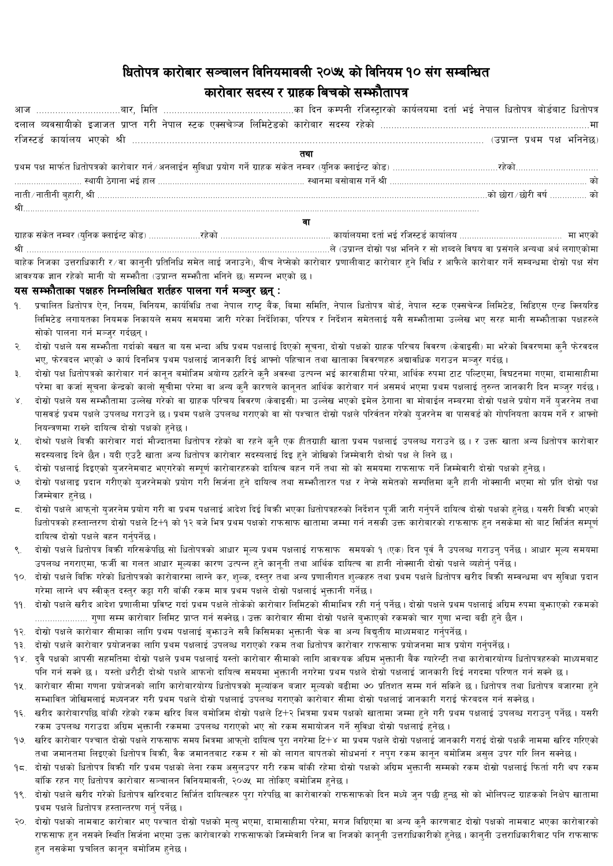## धितोपत्र कारोबार सञ्चालन विनियमावली २०७५ को विनियम १० संग सम्बन्धित कारोवार सदस्य र ग्राहक बिचको सम्भौतापत्र

| दलाल ब्यवसायीको इजाजत प्राप्त गरी नेपाल स्टक एक्सचेञ्ज लिमिटेडको कारोबार सदस्य रहेको …………………………………………………………………                      |  |
|-------------------------------------------------------------------------------------------------------------------------------------|--|
|                                                                                                                                     |  |
|                                                                                                                                     |  |
|                                                                                                                                     |  |
|                                                                                                                                     |  |
|                                                                                                                                     |  |
|                                                                                                                                     |  |
|                                                                                                                                     |  |
| ग्राहक संकेत नम्बर (यनिक क्लाईन्ट कोड) ……………………………………………………………………… कार्यालयमा दर्ता भई रजिस्टर्ड कार्यालय …………………………………………… मा भएको |  |

बाहेक निजका उत्तराधिकारी र∕वा कानुनी प्रतिनिधि समेत लाई जनाउने), बीच नेप्सेको कारोबार प्रणालीबाट कारोबार हने विधि र आफैले कारोबार गर्ने सम्बन्धमा दोस्रो पक्ष सँग आवश्यक ज्ञान रहेको मानी यो सम्भौता (उप्रान्त सम्भौता भनिने छ) सम्पन्न भएको छ।

## यस सम्भौताका पक्षहरु निम्नलिखित शर्तहरु पालना गर्न मञ्जर छन् :

- प्रचालित धितोपत्र ऐन, नियम, विनियम, कार्यविधि तथा नेपाल राष्ट्र बैंक, बिमा समिति, नेपाल धितोपत्र बोर्ड, नेपाल स्टक एक्सचेन्ज लिमिटेड, सिडिएस एन्ड क्लियरिड लिमिटेड लगायतका नियमक निकायले समय समयमा जारी गरेका निर्देशिका, परिपत्र र निर्देशन समेतलाई यसै सम्फौतामा उल्लेख भए सरह मानी सम्फौताका पक्षहरुले सोको पालना गर्न मञ्जर गर्दछन्।
- २. दोस्रो पक्षले यस सम्भनैता गर्दाको वखत वा यस भन्दा अघि प्रथम पक्षलाई दिएको सचना, दोस्रो पक्षको ग्राहक परिचय विवरण (केवाइसी) मा भरेको विवरणमा कनै फेरवदल भए, फेरबदल भएको ७ कार्य दिनभित्र प्रथम पक्षलाई जानकारी दिई आफ्नो पहिचान तथा खाताका विवरणहरु अद्यावधिक गराउन मञ्जर गर्दछ।
- दोस्रो पक्ष धितोपत्रको कारोबार गर्न कानून बमोजिम अयोग्य ठहरिने कुनै अवस्था उत्पन्न भई कारवाहीमा परेमा, आर्थिक रुपमा टाट पल्टिएमा, विघटनमा गएमा, दामासाहीमा ₹. परेमा वा कर्जा सुचना केन्द्रको कालो सुचीमा परेमा वा अन्य कुनै कारणले कानुनत आर्थिक कारोबार गर्न असमर्थ भएमा प्रथम पक्षलाई तुरुन्त जानकारी दिन मञ्जुर गर्दछ ।
- दोस्रो पक्षले यस सम्फौतामा उल्लेख गरेको वा ग्राहक परिचय विवरण (केवाइसी) मा उल्लेख भएको इमेल ठेगाना वा मोबाईल नम्बरमा दोस्रो पक्षले प्रयोग गर्ने यजरनेम तथा  $\lambda$ पासवर्ड प्रथम पक्षले उपलब्ध गराउने छ। प्रथम पक्षले उपलब्ध गराएको वा सो पश्चात दोस्रो पक्षले परिर्वतन गरेको युजरनेम वा पासवर्ड को गोपनियता कायम गर्ने र आफ्नो नियन्त्रणमा राख्ने दायित्व दोस्रो पक्षको हुनेछ।
- दोश्रो पक्षले बिकी कारोवार गर्दा मौज्दातमा धितोपत्र रहेको वा रहने कनै एक हीतग्राही खाता प्रथम पक्षलाई उपलब्ध गराउने छ। र उक्त खाता अन्य धितोपत्र कारोवार ५. सदस्यलाइ दिने छैन। यदी एउटै खाता अन्य धितोपत्र कारोवार सदस्यलाई दिइ हुने जोखिको जिम्मेवारी दोश्रो पक्ष ले लिने छ।
- दोस्रो पक्षलाई दिइएको यजरनेमबाट भएगरेको सम्पर्ण कारोबारहरुको दायित्व बहन गर्ने तथा सो को समयमा राफसाफ गर्ने जिम्मेवारी दोस्रो पक्षको हनेछ।  $\epsilon$ .
- दोस्रो पक्षलाइ प्रदान गरीएको युजरनेमको प्रयोग गरी सिर्जना हुने दायित्व तथा सम्फौतारत पक्ष र नेप्से समेतको सम्पत्तिमा कुनै हानी नोक्सानी भएमा सो प्रति दोस्रो पक्ष ৩ जिम्मेवार हनेछ ।
- दोस्रो पक्षले आफ्नो युजरनेम प्रयोग गरी वा प्रथम पक्षलाई आदेश दिई बिकी भएका धितोपत्रहरुको निर्देशन पूर्जी जारी गर्नुपर्ने दायित्व दोस्रो पक्षको हुनेछ । यसरी बिकी भएको  $5.$ धितोपत्रको हस्तान्तरण दोस्रो पक्षले टि+१ को १२ बजे भित्र प्रथम पक्षको राफसाफ खातामा जम्मा गर्न नसको राकसाफ हुन नसकेमा सो बाट सिर्जित सम्पूर्ण दायित्व दोस्रो पक्षले वहन गर्नपर्नेछ।
- दोस्रो पक्षले धितोपत्र बिकी गरिसकेपछि सो धितोपत्रको आधार मुल्य प्रथम पक्षलाई राफसाफ समयको १ (एक) दिन पुर्व नै उपलब्ध गराउन् पर्नेछ । आधार मुल्य समयमा उपलब्ध नगराएमा, फर्जी वा गलत आधार मूल्यका कारण उत्पन्न हुने कानूनी तथा आर्थिक दायित्च वा हानी नोक्सानी दोस्रो पक्षले व्यहोर्नु पर्नेछ।
- १०. दोस्रो पक्षले बिकि गरेको धितोपत्रको कारोबारमा लाग्ने कर, शुल्क, दस्तुर तथा प्रणालीगत शुल्कहरु तथा प्रथम पक्षले धितोपत्र खरीद बिकी सम्वन्धमा थप सुविधा प्रदान गरेमा लाग्ने थप स्वीकृत दस्तुर कट्टा गरी बाँकी रकम मात्र प्रथम पक्षले दोस्रो पक्षलाई भुक्तानी गर्नेछ।
- ११. दोस्रो पक्षले खरीद आदेश प्रणालीमा प्रविष्ट गर्दा प्रथम पक्षले तोकेको कारोबार लिमिटको सीमाभित्र रही गर्न पर्नेल्न। दोस्रो पक्षले प्रथम पक्षलाई अग्रिम रुपमा बफाएको रकमको ..................... गुणा सम्म कारोबार लिमिट प्राप्त गर्न सक्नेछ। उक्त कारोबार सीमा दोस्रो पक्षले बुभाएको रकमको चार गुणा भन्दा बढी हने छैन ।
- १२. दोस्रो पक्षले कारोबार सीमाका लागि प्रथम पक्षलाई बुफाउने सबै किसिमका भुक्तानी चेक वा अन्य बिद्युतीय माध्यमबाट गर्नुपर्नेछ ।
- १३. दोस्रो पक्षले कारोबार प्रयोजनका लागि प्रथम पक्षलाई उपलब्ध गराएको रकम तथा धितोपत्र कारोवार राफसाफ प्रयोजनमा मात्र प्रयोग गर्नुपर्नेछ ।
- १४. दुवै पक्षको आपसी सहमतिमा दोस्रो पक्षले प्रथम पक्षलाई यस्तो कारोबार सीमाको लागि आवश्यक अग्रिम भक्तानी बैंक ग्यारेन्टी तथा कारोवारयोग्य धितोपत्रहरुको माध्यमबाट पनि गर्न सक्ने छ । यस्तो धरौटी दोश्रो पक्षले आफनो दायित्व समयमा भक्तानी नगरेमा प्रथम पक्षलो पक्षलाई जानकारी दिई नगदमा परिणत गर्न सक्ने छ ।
- १५. कारोबार सीमा गणना प्रयोजनको लागि कारोबारयोग्य धितोपत्रको मुल्यांकन बजार मुल्यको बढीमा ७० प्रतिशत सम्म गर्न सकिने छ । धितोपत्र तथा धितोपत्र बजारमा हुने सम्भावित जोखिमलाई मध्यनजर गरी प्रथम पक्षले दोस्रो पक्षलाई उपलब्ध गराएको कारोबार सीमा दोस्रो पक्षलाई जानकारी गराई फेरबदल गर्न सक्नेछ ।
- १६. खरीद कारोबारपछि बाँकी रहेको रकम खरिद बिल बमोजिम दोस्रो पक्षले टि+२ भित्रमा प्रथम पक्षको खातामा जम्मा हने गरी प्रथम पक्षलाई उपलब्ध गराउन पर्नेछ। यसरी रकम उपलब्ध गराउदा अग्रिम भुक्तानी रकममा उपलब्ध गराएको भए सो रकम समायोजन गर्ने सुविधा दोस्रो पक्षलाई हुनेछ ।
- १७. खरिद कारोबार पश्चात दोस्रो पक्षले राफसाफ समय भित्रमा आफ्नो दायित्व प्रा नगरेमा टि+४ मा प्रथम पक्षले दोस्रो पक्षलाई जानकारी गराई दोस्रो पक्षकै नाममा खरिद गरिएको तथा जमानतमा लिइएको धितोपत्र बिक्री, वैक जमानतबाट रकम र सो को लागत बापतको सोधभर्ना र नपुग रकम कानुन बमोजिम असुल उपर गरि लिन सक्नेछ ।
- १८. दोस्रो पक्षको धितोपत्र बिकी गरि प्रथम पक्षको लेना रकम असुलउपर गरी रकम बाँकी रहेमा दोस्रो पक्षको अग्रिम भुक्तानी सम्मको रकम दोस्रो पक्षलाई फिर्ता गरी थप रकम बाँकि रहन गए धितोपत्र कारोबार सञ्चालन विनियमावली, २०७५ मा तोकिए बमोजिम हुनेछ ।
- १९. दोस्रो पक्षले खरीद गरेको धितोपत्र खरिदबाट सिर्जित दायित्वहरु पुरा गरेपछि वा कारोवारको राफसाफको दिन मध्ये जुन पछी हुन्छ सो को भोलिपल्ट ग्राहकको निक्षेप खातामा प्रथम पक्षले धितोपत्र हस्तान्तरण गर्न पर्नेछ ।
- २०. दोस्रो पक्षको नामवाट कारोवार भए पश्चात दोस्रो पक्षको मृत्यु भएमा, दामासाहीमा परेमा, मगज बिग्रिएमा वा अन्य कुनै कारणवाट दोस्रो पक्षको नामवाट भएका कारोवारको राफसाफ हुन नसक्ने स्थिति सिर्जना भएमा उक्त कारोबारको राफसाफको जिम्मेवारी निज वा निजको कानूनी उत्तराधिकारी उत्तराधिकारीबाट पनि राफसाफ हन नसकेमा प्रचलित कानून बमोजिम हनेछ ।